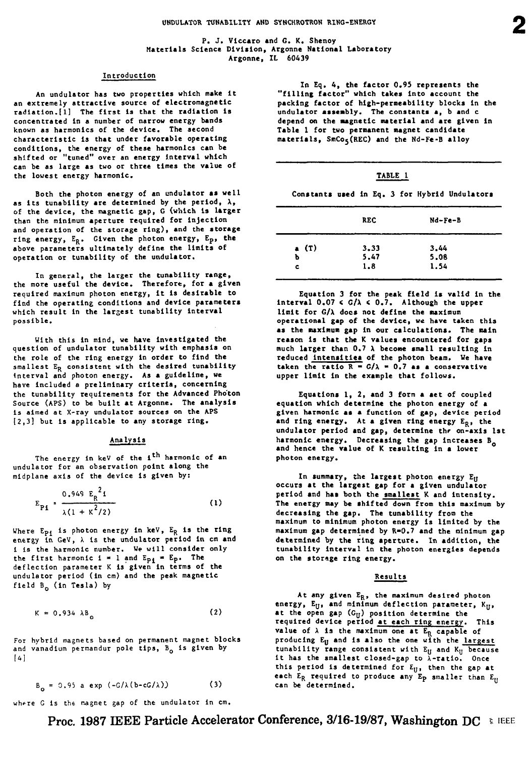**P. J. Vlccaro and G. K. Shenoy Materials Science Division, Argonne National Laboratory Argonne, IL 60439**

#### **Introduction**

**An undulator has two properties which make it an extremely attractive source of electromagnetic radlatlon.[l] The first is that the radiation Is concentrated in a number of narrow energy bands known as harmonics of the device. The second characteristic is that under favorable operating conditions, the energy of these harmonics can be shifted or "tuned" over an energy interval which can be as large as two or three times the value of the lowest energy harmonic.**

**Both the photon energy of an undulator ai well as its tunability are determined by the period, X, of the device, the magnetic gap, G (which is larger than the minimum aperture required for injection and operation of the storage ring), and the storage ring energy, ER. Given the photon energy, Ep, the above parameters ultimately define the limits of operation or tunability of the undulator.**

**In general, the larger the tunability range, the more useful the device. Therefore, for a given required maximum photon energy, it is desirable to find the operating conditions and device parameters which result In the largest tunability Interval possible.**

**With this in mind, we have investigated the question of undulator tunability with emphasis on the role of the ring energy in order to find the smallest ER consistent with the desired tunability Interval and photon energy. As a guideline, we have included a preliminary criteria, concerning the tunability requirements for the Advanced Photon Source (APS) to be built at Argonne. The analysis Is aimed at X-ray undulator sources on the APS [2,3] but is applicable to any storage ring.**

## Analysis

**The energy in keV of the 1<sup>t</sup> <sup>h</sup> harmonic of an undulator for an observation point along the mldplane axis of the device is given by:**

$$
P_1 = \frac{0.949 E_R^2}{\lambda (1 + \kappa^2 / 2)}
$$
 (1)

**Where Epi is photon energy in keV, ER is the ring energy In GeV, A Is the undulator period in cm and 1 Is the harmonic number. We will consider only**  $\mathbf{t}$  the first harmonic  $\mathbf{i} = 1$  and  $\mathbf{E}_{\mathbf{p}1} = \mathbf{E}_{\mathbf{p}1}$ . The **deflection parameter K is given in terms of the undulator period (In cm) and the peak magnetic** field B<sub>n</sub> (in Tesla) by

$$
K = 0.934 \lambda B_0 \tag{2}
$$

**For hybrid magnets based on permanent magnet blocks** and vanadium permandur pole tips, B<sub>o</sub> is given by **[4]**

$$
B_{\alpha} = 0.95 \text{ a } \exp(-G/\lambda(b-cG/\lambda))
$$
 (3)

where G is the magnet gap of the undulator in cm.

**In Eq. 4, the factor 0.95 represents the "filling factor" which takes into account the packing factor of high-permeability blocks in the undulator assembly. The constants a, b and c depend on the magnetic material and are given in Table 1 for two permanent magnet candidate materials, SmCoj(REC) and the Nd-Fe-B alloy**

## **TABLE**

**Constants used in Eq. 3 for Hybrid Undulators**

| <b>REC</b> | Nd-Fe-B |  |
|------------|---------|--|
| 3.33       | 3.44    |  |
| 5.47       | 5.08    |  |
| 1.8        | 1.54    |  |
|            |         |  |

**Equation 3 for the peak field is valid in the interval 0.07 < G/A < 0.7. Although the upper limit for G/A docs not define the maximum operational gap of the device, we have taken this as the maximum gap in our calculations. The naln reason is that the K values encountered for gaps much larger than 0.7 X become small resulting in reduced Intensities of the photon beam. We have** taken the ratio  $R = G/\lambda = 0.7$  as a conservative **upper limit in the example that follows.**

**Equations 1, 2, and 3 form a aet of coupled equation which determine the photon energy of a given harmonic as a function of gap, device period** and ring energy. At a given ring energy E<sub>R</sub>, the **undulator period and gap, determine thr on-axls 1st harmonic energy. Decreasing the gap increases B<sup>Q</sup> and hence the value of K resulting in a lower photon energy.**

**In summary, the largest photon energy E<sup>u</sup> occurs at the largest gap for a given undulator period and has both the smallest K and intensity. The energy may be shifted down from this maximum by decreasing the gap. The tunability from the maximum to minimum photon energy is limited by the maximum gap determined by R-0.7 and the minimum gap determined by the ring aperture. In addition, the tunability interval in the photon energies depends on the storage ring energy.**

#### **Results**

**At Any given E<sup>R</sup> , the maximum desired photon energy, Ey, and minimum deflection parameter, Ky, at the open gap (Gy) position determine the required device period at each ring energy. This value** of  $\lambda$  is the maximum one at  $E_R$  capable of **producing Ey and is also the one with the largest tunability range consistent with Eu and Ky because It has the smallest closed-gap to A-ratlo. Once this period is determined for E^, then the gap at each ER required to produce any Ep smaller than Ey can be determined.**

# Proc. 1987 IEEE Particle Accelerator Conference, 3/16-19/87, Washington DC **EIFEE**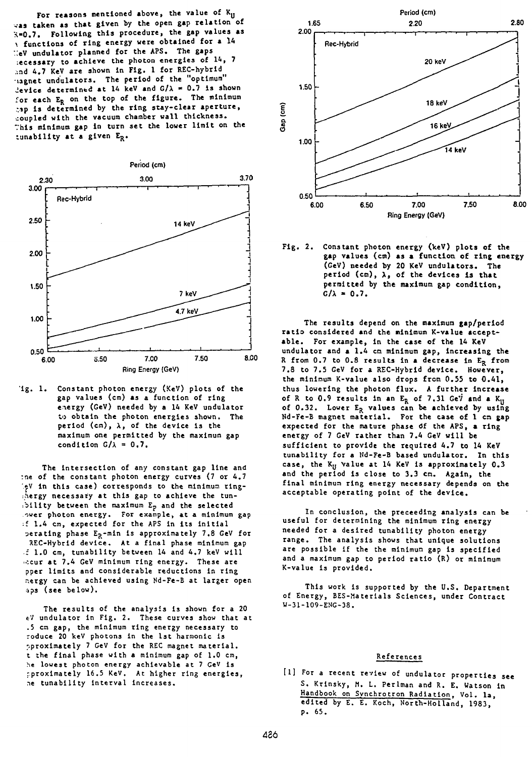For reasons mentioned above, the value of K<sub>U</sub> vas taken as that given by the open gap relation of **X-0.7. Following this procedure, the gap values as >. functions of ring energy were obtained for a 1A ::eV undulator planned for the APS. The gaps :ecessary to achieve the photon energies of 14, 7 ,:nd 4.7 KeV are shown in Fig. 1 for REC-hybrid^ lagnec undulators. The period of the "optimum" Jevice determined at 14 keV and**  $G/\lambda = 0.7$  **is shown for each ER on the top of the figure. The minimum r.tp is determined by the ring stay-clear aperture, coupled with the vacuum chamber wall thickness. This minimum gap in turn set the lower limit on the ijnability at a given E<sup>R</sup> .**



'ig. 1. Constant photon energy (KeV) plots of the **gap values (cm) as a function of ring energy (GeV) needed by a 14 KeV undulator to obtain the photon energies shown. The period (cm), X, of the device is the maximum one permitted by the maximum gap** condition  $G/\lambda = 0.7$ .

**The intersection of any constant gap line and :ne of the constant photon energy curves (7 or 4.7 '.eV in this case) corresponds to the minimum ring- :hergy necessary at this gap to achieve the tun- :bllit y between the maximum E? and the selected ower photon energy. For example, at a minimum gap :£ 1.4 cm, expected for the APS in its initia l aerating phase E?-mln is approximately 7.8 GeV for aEC-Hybrld device. At a final phase minimum gap : 1.0 cm, tunabllity between 14 and 4.7 keV will • ••.cur at 7.4 GeV minimum ring energy. These are pper limits and considerable reductions in ring nergy can be achieved using Nd-Fe-B at larger open 'ips (see below).**

**The results of the analysis is shown for a 20 eV undulator in Fig. 2. These curves show that at .5 cm gap, the minimum ring energy necessary to roduce 20 keV photons In the 1st harmonic is oproximately 7 GeV for the REC magnet material, t the final phase with a minimum gap of 1.0 cm, he lowest photon energy achievable at 7 CeV is rproximately 16.5 KeV. At higher ring energies, ne tunabillty Interval increases.**



**Fig. 2. Constant photon energy (keV) plots of the gap values (cm) as a function of ring energy (GeV) needed by 20 KeV undulators. The period (cm), X, of the devices is that permitted by the maximum gap condition,**  $G/\lambda = 0.7$ .

**The results depend on the maximum gap/period ratio considered and the minimum K-value acceptable. For example, in the case of the 14 KeV undulator and a 1.4 cm minimum gap, increasing the R from 0.7 to 0.8 results in a decrease In ER from 7.8 to 7.5 GeV for a REC-Hybrid device. However, the minimum K-value also drops from 0.55 to 0.41, thus lowering the photon flux. A further increase of R to 0.9 results In an ER of 7.31 GeV and a Ky of 0.32. Lower ER values can be achieved by using Nd-Fe-B magnet material. For the case of 1 en gap** expected for the mature phase of the APS, a ring **energy of 7 GeV rather than 7.4 GeV will be sufficient to provide the required 4.7 to 14 KeV tunability for a Nd-Fe-B based undulator. In this case, the Ky Value at 14 KeV is approximately 0.3 and the period is close to 3.3 cm. Again, the final minimum ring energy necessary depends on the acceptable operating point of the device.**

**In conclusion, the preceeding analysis can be useful for determining the minimum ring energy needed for a desired tunabillty photon energy range. The analysis shows that unique solutions are possible If the the minimum gap is specified and a maximum gap to period ratio (R) or minimum K-value is provided.**

**This work is supported by the U.S. Department of Energy, BES-Materials Sciences, under Contract W-31-109-ENG-38.**

## **References**

**[I] For a recent review of undulator properties see S. Krlnsky, M. I. Perlman and R. E. Watson in Handbook on Synchrotron Radiation. Vol. la, edited by E. E. Koch, North-Holland, 1983, p. 65.**